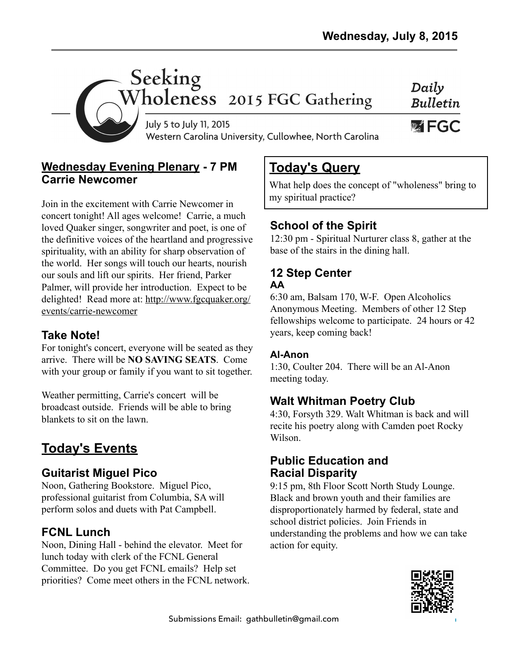Daily **Bulletin** 

W FGC



Western Carolina University, Cullowhee, North Carolina

#### **Wednesday Evening Plenary - 7 PM Carrie Newcomer**

Join in the excitement with Carrie Newcomer in concert tonight! All ages welcome! Carrie, a much loved Quaker singer, songwriter and poet, is one of the definitive voices of the heartland and progressive spirituality, with an ability for sharp observation of the world. Her songs will touch our hearts, nourish our souls and lift our spirits. Her friend, Parker Palmer, will provide her introduction. Expect to be [delighted! Read more at: http://www.fgcquaker.org/](http://www.fgcquaker.org/events/carrie-newcomer) events/carrie-newcomer

### **Take Note!**

For tonight's concert, everyone will be seated as they arrive. There will be **NO SAVING SEATS**. Come with your group or family if you want to sit together.

Weather permitting, Carrie's concert will be broadcast outside. Friends will be able to bring blankets to sit on the lawn.

# **Today's Events**

### **Guitarist Miguel Pico**

Noon, Gathering Bookstore. Miguel Pico, professional guitarist from Columbia, SA will perform solos and duets with Pat Campbell.

### **FCNL Lunch**

Noon, Dining Hall - behind the elevator. Meet for lunch today with clerk of the FCNL General Committee. Do you get FCNL emails? Help set priorities? Come meet others in the FCNL network.

# **Today's Query**

What help does the concept of "wholeness" bring to my spiritual practice?

## **School of the Spirit**

12:30 pm - Spiritual Nurturer class 8, gather at the base of the stairs in the dining hall.

#### **12 Step Center AA**

6:30 am, Balsam 170, W-F. Open Alcoholics Anonymous Meeting. Members of other 12 Step fellowships welcome to participate. 24 hours or 42 years, keep coming back!

#### **Al-Anon**

1:30, Coulter 204. There will be an Al-Anon meeting today.

## **Walt Whitman Poetry Club**

4:30, Forsyth 329. Walt Whitman is back and will recite his poetry along with Camden poet Rocky Wilson.

#### **Public Education and Racial Disparity**

9:15 pm, 8th Floor Scott North Study Lounge. Black and brown youth and their families are disproportionately harmed by federal, state and school district policies. Join Friends in understanding the problems and how we can take action for equity.

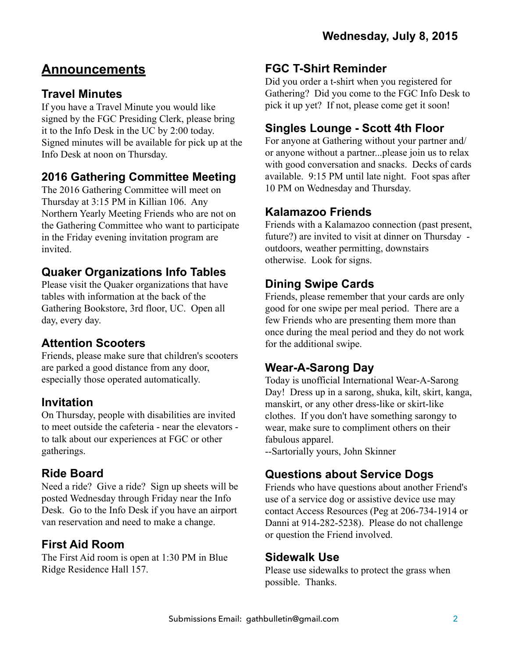# **Announcements**

### **Travel Minutes**

If you have a Travel Minute you would like signed by the FGC Presiding Clerk, please bring it to the Info Desk in the UC by 2:00 today. Signed minutes will be available for pick up at the Info Desk at noon on Thursday.

### **2016 Gathering Committee Meeting**

The 2016 Gathering Committee will meet on Thursday at 3:15 PM in Killian 106. Any Northern Yearly Meeting Friends who are not on the Gathering Committee who want to participate in the Friday evening invitation program are invited.

#### **Quaker Organizations Info Tables**

Please visit the Quaker organizations that have tables with information at the back of the Gathering Bookstore, 3rd floor, UC. Open all day, every day.

### **Attention Scooters**

Friends, please make sure that children's scooters are parked a good distance from any door, especially those operated automatically.

#### **Invitation**

On Thursday, people with disabilities are invited to meet outside the cafeteria - near the elevators to talk about our experiences at FGC or other gatherings.

### **Ride Board**

Need a ride? Give a ride? Sign up sheets will be posted Wednesday through Friday near the Info Desk. Go to the Info Desk if you have an airport van reservation and need to make a change.

## **First Aid Room**

The First Aid room is open at 1:30 PM in Blue Ridge Residence Hall 157.

#### **FGC T-Shirt Reminder**

Did you order a t-shirt when you registered for Gathering? Did you come to the FGC Info Desk to pick it up yet? If not, please come get it soon!

### **Singles Lounge - Scott 4th Floor**

For anyone at Gathering without your partner and/ or anyone without a partner...please join us to relax with good conversation and snacks. Decks of cards available. 9:15 PM until late night. Foot spas after 10 PM on Wednesday and Thursday.

#### **Kalamazoo Friends**

Friends with a Kalamazoo connection (past present, future?) are invited to visit at dinner on Thursday outdoors, weather permitting, downstairs otherwise. Look for signs.

### **Dining Swipe Cards**

Friends, please remember that your cards are only good for one swipe per meal period. There are a few Friends who are presenting them more than once during the meal period and they do not work for the additional swipe.

## **Wear-A-Sarong Day**

Today is unofficial International Wear-A-Sarong Day! Dress up in a sarong, shuka, kilt, skirt, kanga, manskirt, or any other dress-like or skirt-like clothes. If you don't have something sarongy to wear, make sure to compliment others on their fabulous apparel.

--Sartorially yours, John Skinner

## **Questions about Service Dogs**

Friends who have questions about another Friend's use of a service dog or assistive device use may contact Access Resources (Peg at 206-734-1914 or Danni at 914-282-5238). Please do not challenge or question the Friend involved.

### **Sidewalk Use**

Please use sidewalks to protect the grass when possible. Thanks.